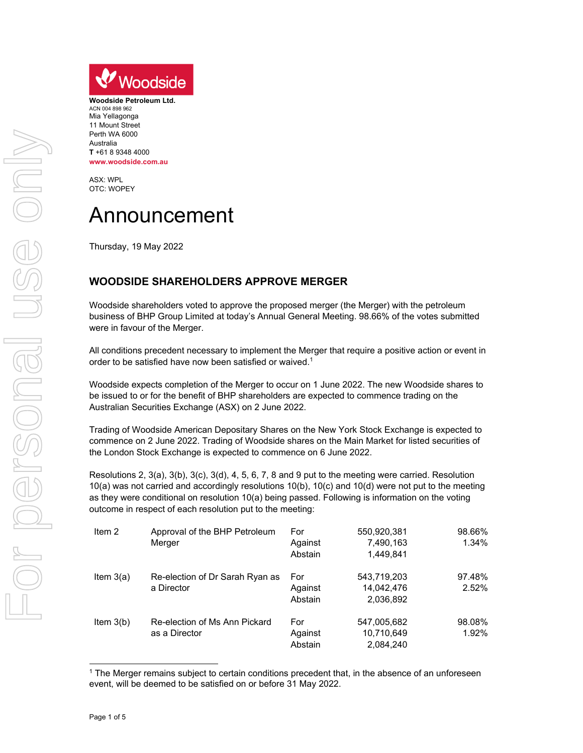

**Woodside Petroleum Ltd.**  ACN 004 898 962 Mia Yellagonga 11 Mount Street Perth WA 6000 Australia **T** +61 8 9348 4000 **www.woodside.com.au** 

ASX: WPL OTC: WOPEY

## Announcement

Thursday, 19 May 2022

## **WOODSIDE SHAREHOLDERS APPROVE MERGER**

Woodside shareholders voted to approve the proposed merger (the Merger) with the petroleum business of BHP Group Limited at today's Annual General Meeting. 98.66% of the votes submitted were in favour of the Merger.

All conditions precedent necessary to implement the Merger that require a positive action or event in order to be satisfied have now been satisfied or waived.<sup>1</sup>

Woodside expects completion of the Merger to occur on 1 June 2022. The new Woodside shares to be issued to or for the benefit of BHP shareholders are expected to commence trading on the Australian Securities Exchange (ASX) on 2 June 2022.

Trading of Woodside American Depositary Shares on the New York Stock Exchange is expected to commence on 2 June 2022. Trading of Woodside shares on the Main Market for listed securities of the London Stock Exchange is expected to commence on 6 June 2022.

Resolutions 2, 3(a), 3(b), 3(c), 3(d), 4, 5, 6, 7, 8 and 9 put to the meeting were carried. Resolution 10(a) was not carried and accordingly resolutions 10(b), 10(c) and 10(d) were not put to the meeting as they were conditional on resolution 10(a) being passed. Following is information on the voting outcome in respect of each resolution put to the meeting:

| Item $2$    | Approval of the BHP Petroleum   | For     | 550,920,381 | 98.66% |
|-------------|---------------------------------|---------|-------------|--------|
|             | Merger                          | Against | 7,490,163   | 1.34%  |
|             |                                 | Abstain | 1.449.841   |        |
| Item $3(a)$ | Re-election of Dr Sarah Ryan as | For     | 543,719,203 | 97.48% |
|             | a Director                      | Against | 14,042,476  | 2.52%  |
|             |                                 | Abstain | 2,036,892   |        |
| Item $3(b)$ | Re-election of Ms Ann Pickard   | For     | 547,005,682 | 98.08% |
|             | as a Director                   | Against | 10,710,649  | 1.92%  |
|             |                                 | Abstain | 2.084.240   |        |

<sup>&</sup>lt;sup>1</sup> The Merger remains subject to certain conditions precedent that, in the absence of an unforeseen event, will be deemed to be satisfied on or before 31 May 2022.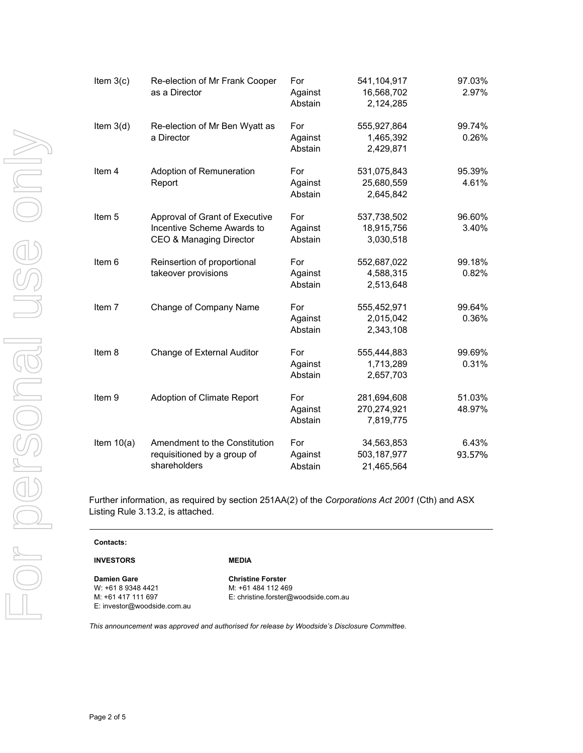| Item $3(c)$  | Re-election of Mr Frank Cooper<br>as a Director                                         | For<br>Against<br>Abstain | 541,104,917<br>16,568,702<br>2,124,285  | 97.03%<br>2.97%  |
|--------------|-----------------------------------------------------------------------------------------|---------------------------|-----------------------------------------|------------------|
| Item $3(d)$  | Re-election of Mr Ben Wyatt as<br>a Director                                            | For<br>Against<br>Abstain | 555,927,864<br>1,465,392<br>2,429,871   | 99.74%<br>0.26%  |
| Item 4       | Adoption of Remuneration<br>Report                                                      | For<br>Against<br>Abstain | 531,075,843<br>25,680,559<br>2,645,842  | 95.39%<br>4.61%  |
| Item 5       | Approval of Grant of Executive<br>Incentive Scheme Awards to<br>CEO & Managing Director | For<br>Against<br>Abstain | 537,738,502<br>18,915,756<br>3,030,518  | 96.60%<br>3.40%  |
| Item 6       | Reinsertion of proportional<br>takeover provisions                                      | For<br>Against<br>Abstain | 552,687,022<br>4,588,315<br>2,513,648   | 99.18%<br>0.82%  |
| Item 7       | Change of Company Name                                                                  | For<br>Against<br>Abstain | 555,452,971<br>2,015,042<br>2,343,108   | 99.64%<br>0.36%  |
| Item 8       | Change of External Auditor                                                              | For<br>Against<br>Abstain | 555,444,883<br>1,713,289<br>2,657,703   | 99.69%<br>0.31%  |
| Item 9       | Adoption of Climate Report                                                              | For<br>Against<br>Abstain | 281,694,608<br>270,274,921<br>7,819,775 | 51.03%<br>48.97% |
| Item $10(a)$ | Amendment to the Constitution<br>requisitioned by a group of<br>shareholders            | For<br>Against<br>Abstain | 34,563,853<br>503,187,977<br>21,465,564 | 6.43%<br>93.57%  |

Further information, as required by section 251AA(2) of the *Corporations Act 2001* (Cth) and ASX Listing

| urther information, as required by section 251AA(2) of t-<br>.isting Rule 3.13.2, is attached. |  |
|------------------------------------------------------------------------------------------------|--|
| <b>Contacts:</b>                                                                               |  |

**Damien Gare**  W: +61 8 9348 4421 M: +61 417 111 697 E: investor@woodside.com.au

**INVESTORS** 

**Christine Forster**  M: +61 484 112 469 E: christine.forster@woodside.com.au

*This announcement was approved and authorised for release by Woodside's Disclosure Committee.*

**MEDIA**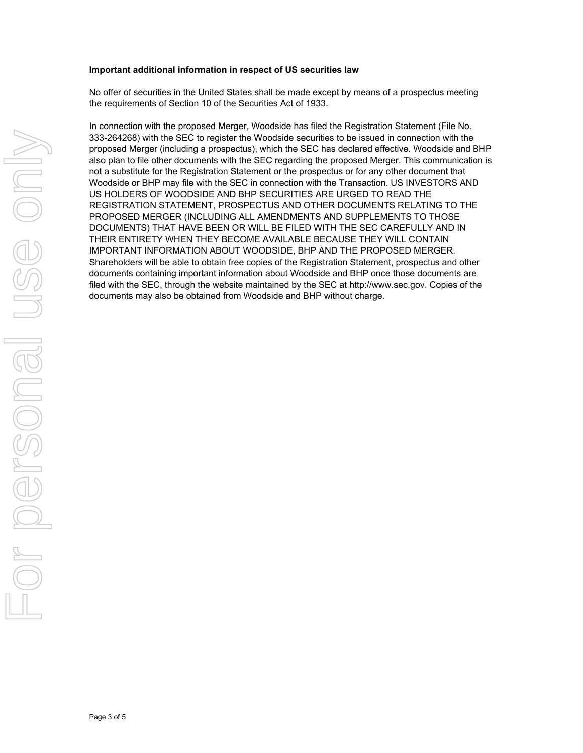## **Important additional information in respect of US securities law**

No offer of securities in the United States shall be made except by means of a prospectus meeting the requirements of Section 10 of the Securities Act of 1933.

In connection with the proposed Merger, Woodside has filed the Registration Statement (File No. 333-264268) with the SEC to register the Woodside securities to be issued in connection with the proposed Merger (including a prospectus), which the SEC has declared effective. Woodside and BHP also plan to file other documents with the SEC regarding the proposed Merger. This communication is not a substitute for the Registration Statement or the prospectus or for any other document that Woodside or BHP may file with the SEC in connection with the Transaction. US INVESTORS AND US HOLDERS OF WOODSIDE AND BHP SECURITIES ARE URGED TO READ THE REGISTRATION STATEMENT, PROSPECTUS AND OTHER DOCUMENTS RELATING TO THE PROPOSED MERGER (INCLUDING ALL AMENDMENTS AND SUPPLEMENTS TO THOSE DOCUMENTS) THAT HAVE BEEN OR WILL BE FILED WITH THE SEC CAREFULLY AND IN THEIR ENTIRETY WHEN THEY BECOME AVAILABLE BECAUSE THEY WILL CONTAIN IMPORTANT INFORMATION ABOUT WOODSIDE, BHP AND THE PROPOSED MERGER. Shareholders will be able to obtain free copies of the Registration Statement, prospectus and other documents containing important information about Woodside and BHP once those documents are filed with the SEC, through the website maintained by the SEC at http://www.sec.gov. Copies of the documents may also be obtained from Woodside and BHP without charge.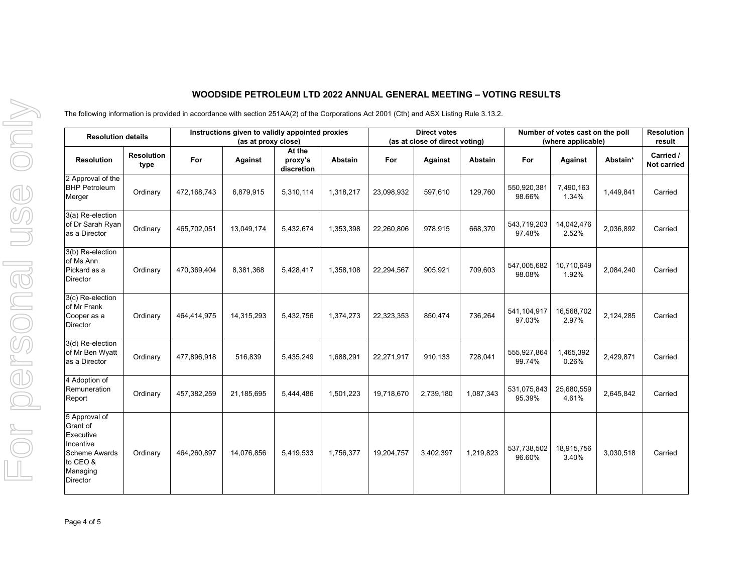## **WOODSIDE PETROLEUM LTD 2022 ANNUAL GENERAL MEETING – VOTING RESULTS**

The following information is provided in accordance with section 251AA(2) of the Corporations Act 2001 (Cth) and ASX Listing Rule 3.13.2.

| <b>Resolution details</b>                                                                                              |                           | Instructions given to validly appointed proxies<br>(as at proxy close) |            |                                 |                | <b>Direct votes</b><br>(as at close of direct voting) |           |                | Number of votes cast on the poll<br>(where applicable) |                     |           | <b>Resolution</b><br>result |
|------------------------------------------------------------------------------------------------------------------------|---------------------------|------------------------------------------------------------------------|------------|---------------------------------|----------------|-------------------------------------------------------|-----------|----------------|--------------------------------------------------------|---------------------|-----------|-----------------------------|
| <b>Resolution</b>                                                                                                      | <b>Resolution</b><br>type | For                                                                    | Against    | At the<br>proxy's<br>discretion | <b>Abstain</b> | For                                                   | Against   | <b>Abstain</b> | For                                                    | Against             | Abstain*  | Carried /<br>Not carried    |
| 2 Approval of the<br><b>BHP Petroleum</b><br>Merger                                                                    | Ordinary                  | 472,168,743                                                            | 6,879,915  | 5,310,114                       | 1,318,217      | 23,098,932                                            | 597,610   | 129,760        | 550,920,381<br>98.66%                                  | 7,490,163<br>1.34%  | 1,449,841 | Carried                     |
| 3(a) Re-election<br>of Dr Sarah Ryan<br>as a Director                                                                  | Ordinary                  | 465,702,051                                                            | 13,049,174 | 5,432,674                       | 1,353,398      | 22,260,806                                            | 978,915   | 668,370        | 543,719,203<br>97.48%                                  | 14,042,476<br>2.52% | 2,036,892 | Carried                     |
| 3(b) Re-election<br>of Ms Ann<br>Pickard as a<br><b>Director</b>                                                       | Ordinary                  | 470,369,404                                                            | 8,381,368  | 5,428,417                       | 1,358,108      | 22,294,567                                            | 905,921   | 709,603        | 547,005,682<br>98.08%                                  | 10,710,649<br>1.92% | 2,084,240 | Carried                     |
| 3(c) Re-election<br>of Mr Frank<br>Cooper as a<br><b>Director</b>                                                      | Ordinary                  | 464,414,975                                                            | 14,315,293 | 5,432,756                       | 1,374,273      | 22,323,353                                            | 850,474   | 736,264        | 541,104,917<br>97.03%                                  | 16,568,702<br>2.97% | 2,124,285 | Carried                     |
| 3(d) Re-election<br>of Mr Ben Wyatt<br>as a Director                                                                   | Ordinary                  | 477,896,918                                                            | 516,839    | 5,435,249                       | 1,688,291      | 22,271,917                                            | 910,133   | 728,041        | 555,927,864<br>99.74%                                  | 1,465,392<br>0.26%  | 2,429,871 | Carried                     |
| 4 Adoption of<br>Remuneration<br>Report                                                                                | Ordinary                  | 457,382,259                                                            | 21,185,695 | 5,444,486                       | 1,501,223      | 19,718,670                                            | 2,739,180 | 1,087,343      | 531,075,843<br>95.39%                                  | 25,680,559<br>4.61% | 2,645,842 | Carried                     |
| 5 Approval of<br>Grant of<br>Executive<br>Incentive<br><b>Scheme Awards</b><br>to CEO &<br>Managing<br><b>Director</b> | Ordinary                  | 464,260,897                                                            | 14,076,856 | 5,419,533                       | 1,756,377      | 19,204,757                                            | 3,402,397 | 1,219,823      | 537,738,502<br>96.60%                                  | 18,915,756<br>3.40% | 3,030,518 | Carried                     |